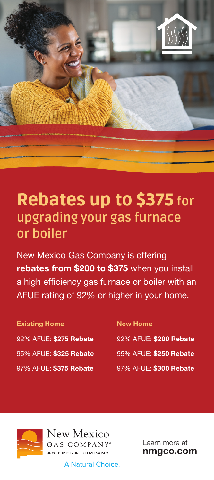

## Rebates up to \$375 **for upgrading your gas furnace or boiler**

New Mexico Gas Company is offering rebates from \$200 to \$375 when you install a high efficiency gas furnace or boiler with an AFUE rating of 92% or higher in your home.

Existing Home New Home 92% AFUE: \$275 Rebate 95% AFUE: \$325 Rebate 97% AFUE: \$375 Rebate

92% AFUE: \$200 Rebate 95% AFUE: \$250 Rebate 97% AFUE: \$300 Rebate



Learn more at [nmgco.com](http://nmgco.com)

A Natural Choice.